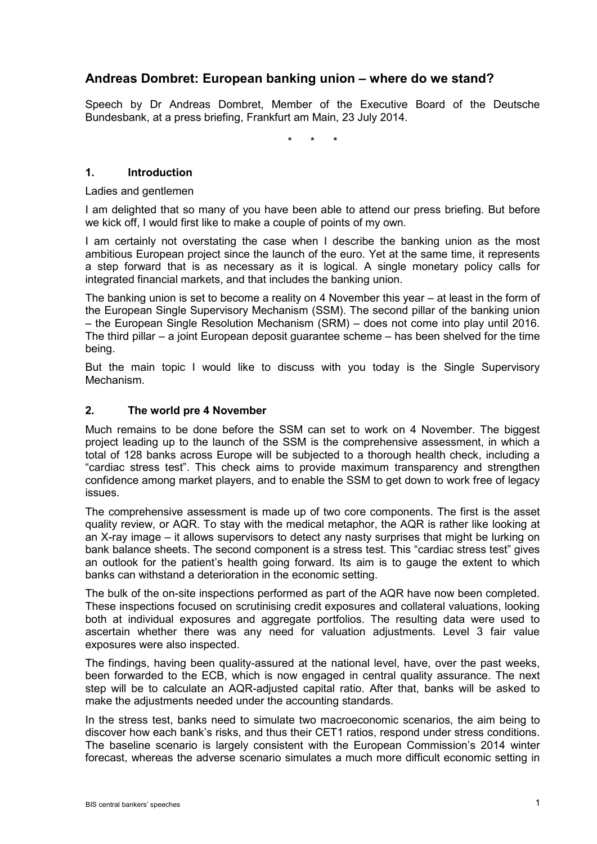# **Andreas Dombret: European banking union – where do we stand?**

Speech by Dr Andreas Dombret, Member of the Executive Board of the Deutsche Bundesbank, at a press briefing, Frankfurt am Main, 23 July 2014.

\* \* \*

### **1. Introduction**

#### Ladies and gentlemen

I am delighted that so many of you have been able to attend our press briefing. But before we kick off, I would first like to make a couple of points of my own.

I am certainly not overstating the case when I describe the banking union as the most ambitious European project since the launch of the euro. Yet at the same time, it represents a step forward that is as necessary as it is logical. A single monetary policy calls for integrated financial markets, and that includes the banking union.

The banking union is set to become a reality on 4 November this year – at least in the form of the European Single Supervisory Mechanism (SSM). The second pillar of the banking union – the European Single Resolution Mechanism (SRM) – does not come into play until 2016. The third pillar – a joint European deposit guarantee scheme – has been shelved for the time being.

But the main topic I would like to discuss with you today is the Single Supervisory Mechanism.

#### **2. The world pre 4 November**

Much remains to be done before the SSM can set to work on 4 November. The biggest project leading up to the launch of the SSM is the comprehensive assessment, in which a total of 128 banks across Europe will be subjected to a thorough health check, including a "cardiac stress test". This check aims to provide maximum transparency and strengthen confidence among market players, and to enable the SSM to get down to work free of legacy issues.

The comprehensive assessment is made up of two core components. The first is the asset quality review, or AQR. To stay with the medical metaphor, the AQR is rather like looking at an X-ray image – it allows supervisors to detect any nasty surprises that might be lurking on bank balance sheets. The second component is a stress test. This "cardiac stress test" gives an outlook for the patient's health going forward. Its aim is to gauge the extent to which banks can withstand a deterioration in the economic setting.

The bulk of the on-site inspections performed as part of the AQR have now been completed. These inspections focused on scrutinising credit exposures and collateral valuations, looking both at individual exposures and aggregate portfolios. The resulting data were used to ascertain whether there was any need for valuation adjustments. Level 3 fair value exposures were also inspected.

The findings, having been quality-assured at the national level, have, over the past weeks, been forwarded to the ECB, which is now engaged in central quality assurance. The next step will be to calculate an AQR-adjusted capital ratio. After that, banks will be asked to make the adjustments needed under the accounting standards.

In the stress test, banks need to simulate two macroeconomic scenarios, the aim being to discover how each bank's risks, and thus their CET1 ratios, respond under stress conditions. The baseline scenario is largely consistent with the European Commission's 2014 winter forecast, whereas the adverse scenario simulates a much more difficult economic setting in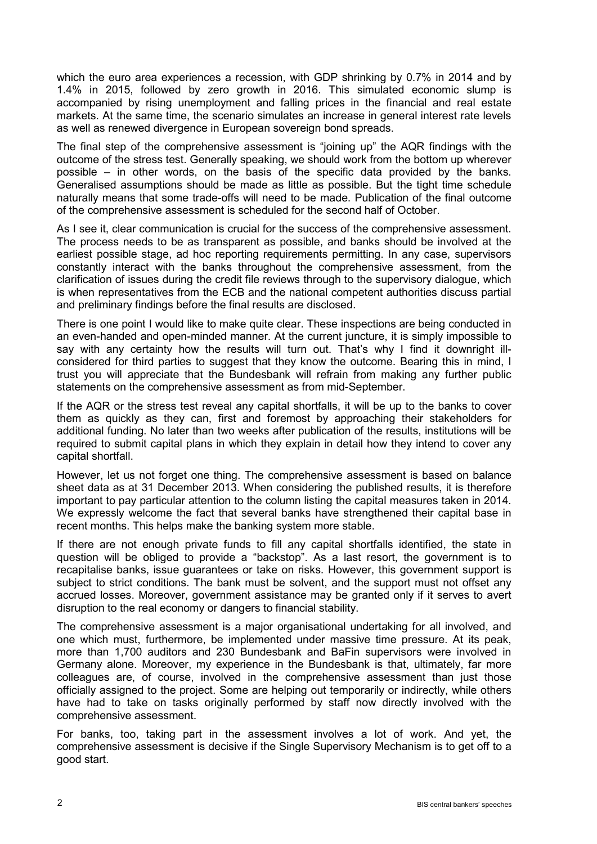which the euro area experiences a recession, with GDP shrinking by 0.7% in 2014 and by 1.4% in 2015, followed by zero growth in 2016. This simulated economic slump is accompanied by rising unemployment and falling prices in the financial and real estate markets. At the same time, the scenario simulates an increase in general interest rate levels as well as renewed divergence in European sovereign bond spreads.

The final step of the comprehensive assessment is "joining up" the AQR findings with the outcome of the stress test. Generally speaking, we should work from the bottom up wherever possible – in other words, on the basis of the specific data provided by the banks. Generalised assumptions should be made as little as possible. But the tight time schedule naturally means that some trade-offs will need to be made. Publication of the final outcome of the comprehensive assessment is scheduled for the second half of October.

As I see it, clear communication is crucial for the success of the comprehensive assessment. The process needs to be as transparent as possible, and banks should be involved at the earliest possible stage, ad hoc reporting requirements permitting. In any case, supervisors constantly interact with the banks throughout the comprehensive assessment, from the clarification of issues during the credit file reviews through to the supervisory dialogue, which is when representatives from the ECB and the national competent authorities discuss partial and preliminary findings before the final results are disclosed.

There is one point I would like to make quite clear. These inspections are being conducted in an even-handed and open-minded manner. At the current juncture, it is simply impossible to say with any certainty how the results will turn out. That's why I find it downright illconsidered for third parties to suggest that they know the outcome. Bearing this in mind, I trust you will appreciate that the Bundesbank will refrain from making any further public statements on the comprehensive assessment as from mid-September.

If the AQR or the stress test reveal any capital shortfalls, it will be up to the banks to cover them as quickly as they can, first and foremost by approaching their stakeholders for additional funding. No later than two weeks after publication of the results, institutions will be required to submit capital plans in which they explain in detail how they intend to cover any capital shortfall.

However, let us not forget one thing. The comprehensive assessment is based on balance sheet data as at 31 December 2013. When considering the published results, it is therefore important to pay particular attention to the column listing the capital measures taken in 2014. We expressly welcome the fact that several banks have strengthened their capital base in recent months. This helps make the banking system more stable.

If there are not enough private funds to fill any capital shortfalls identified, the state in question will be obliged to provide a "backstop". As a last resort, the government is to recapitalise banks, issue guarantees or take on risks. However, this government support is subject to strict conditions. The bank must be solvent, and the support must not offset any accrued losses. Moreover, government assistance may be granted only if it serves to avert disruption to the real economy or dangers to financial stability.

The comprehensive assessment is a major organisational undertaking for all involved, and one which must, furthermore, be implemented under massive time pressure. At its peak, more than 1,700 auditors and 230 Bundesbank and BaFin supervisors were involved in Germany alone. Moreover, my experience in the Bundesbank is that, ultimately, far more colleagues are, of course, involved in the comprehensive assessment than just those officially assigned to the project. Some are helping out temporarily or indirectly, while others have had to take on tasks originally performed by staff now directly involved with the comprehensive assessment.

For banks, too, taking part in the assessment involves a lot of work. And yet, the comprehensive assessment is decisive if the Single Supervisory Mechanism is to get off to a good start.